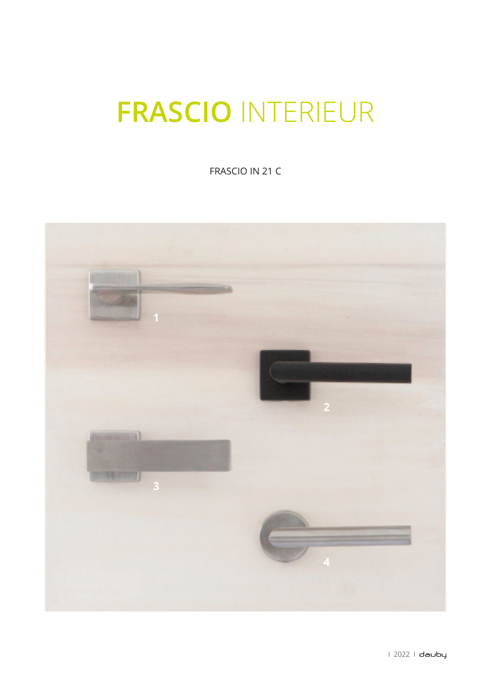## **FRASCIO INTERIEUR**

FRASCIO IN 21 C